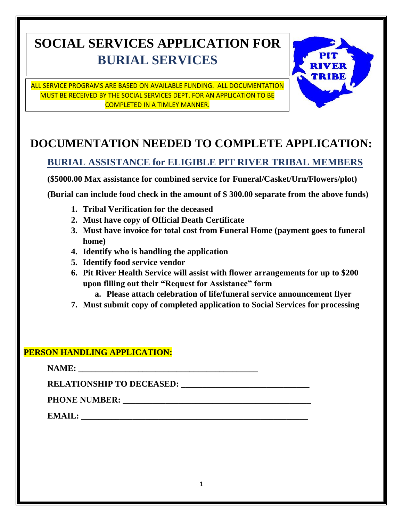# **SOCIAL SERVICES APPLICATION FOR BURIAL SERVICES**

ALL SERVICE PROGRAMS ARE BASED ON AVAILABLE FUNDING. ALL DOCUMENTATION MUST BE RECEIVED BY THE SOCIAL SERVICES DEPT. FOR AN APPLICATION TO BE COMPLETED IN A TIMLEY MANNER.



## **DOCUMENTATION NEEDED TO COMPLETE APPLICATION:**

### **BURIAL ASSISTANCE for ELIGIBLE PIT RIVER TRIBAL MEMBERS**

**(\$5000.00 Max assistance for combined service for Funeral/Casket/Urn/Flowers/plot)**

**(Burial can include food check in the amount of \$ 300.00 separate from the above funds)**

- **1. Tribal Verification for the deceased**
- **2. Must have copy of Official Death Certificate**
- **3. Must have invoice for total cost from Funeral Home (payment goes to funeral home)**
- **4. Identify who is handling the application**
- **5. Identify food service vendor**
- **6. Pit River Health Service will assist with flower arrangements for up to \$200 upon filling out their "Request for Assistance" form**
	- **a. Please attach celebration of life/funeral service announcement flyer**
- **7. Must submit copy of completed application to Social Services for processing**

### **PERSON HANDLING APPLICATION:**

**NAME: RELATIONSHIP TO DECEASED:** PHONE NUMBER: **WE ALL ASSESSED ASSESSED ASSESSED ASSESSED ASSESSED. EMAIL: \_\_\_\_\_\_\_\_\_\_\_\_\_\_\_\_\_\_\_\_\_\_\_\_\_\_\_\_\_\_\_\_\_\_\_\_\_\_\_\_\_\_\_\_\_\_\_\_\_\_\_\_\_**